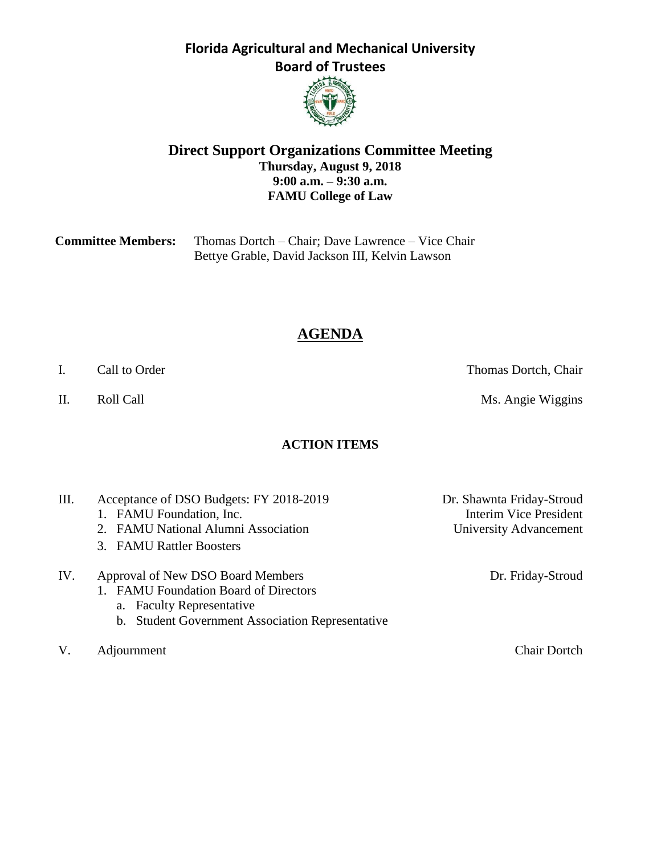

### **Direct Support Organizations Committee Meeting Thursday, August 9, 2018 9:00 a.m. – 9:30 a.m. FAMU College of Law**

| <b>Committee Members:</b> | Thomas Dortch – Chair; Dave Lawrence – Vice Chair |
|---------------------------|---------------------------------------------------|
|                           | Bettye Grable, David Jackson III, Kelvin Lawson   |

# **AGENDA**

### **ACTION ITEMS**

- III. Acceptance of DSO Budgets: FY 2018-2019 Dr. Shawnta Friday-Stroud
	-
	- 2. FAMU National Alumni Association University Advancement
	- 3. FAMU Rattler Boosters
- IV. Approval of New DSO Board Members Dr. Friday-Stroud
	- 1. FAMU Foundation Board of Directors
		- a. Faculty Representative
		- b. Student Government Association Representative
- V. Adjournment Chair Dortch

1. FAMU Foundation, Inc. The extent of the state of the Interim Vice President

I. Call to Order Thomas Dortch, Chair

II. Roll Call **Call Call** Ms. Angie Wiggins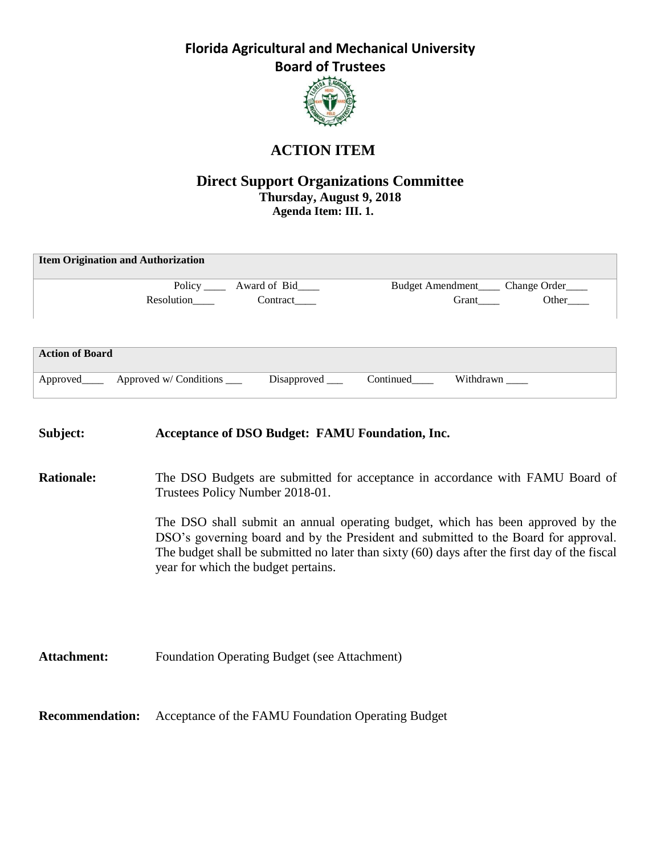

# **ACTION ITEM**

### **Direct Support Organizations Committee Thursday, August 9, 2018 Agenda Item: III. 1.**

|                        | <b>Item Origination and Authorization</b> |              |                  |           |              |
|------------------------|-------------------------------------------|--------------|------------------|-----------|--------------|
|                        | Policy $\frac{1}{\sqrt{2}}$               | Award of Bid | Budget Amendment |           | Change Order |
|                        | Resolution                                | Contract     |                  | Grant     | Other        |
|                        |                                           |              |                  |           |              |
|                        |                                           |              |                  |           |              |
| <b>Action of Board</b> |                                           |              |                  |           |              |
|                        |                                           |              |                  |           |              |
| Approved               | Approved w/ Conditions                    | Disapproved  | Continued        | Withdrawn |              |

| Subject:               | <b>Acceptance of DSO Budget: FAMU Foundation, Inc.</b>                                                                                                                                                                                                                                                                                                                                                                             |
|------------------------|------------------------------------------------------------------------------------------------------------------------------------------------------------------------------------------------------------------------------------------------------------------------------------------------------------------------------------------------------------------------------------------------------------------------------------|
| <b>Rationale:</b>      | The DSO Budgets are submitted for acceptance in accordance with FAMU Board of<br>Trustees Policy Number 2018-01.<br>The DSO shall submit an annual operating budget, which has been approved by the<br>DSO's governing board and by the President and submitted to the Board for approval.<br>The budget shall be submitted no later than sixty (60) days after the first day of the fiscal<br>year for which the budget pertains. |
| <b>Attachment:</b>     | <b>Foundation Operating Budget (see Attachment)</b>                                                                                                                                                                                                                                                                                                                                                                                |
| <b>Recommendation:</b> | Acceptance of the FAMU Foundation Operating Budget                                                                                                                                                                                                                                                                                                                                                                                 |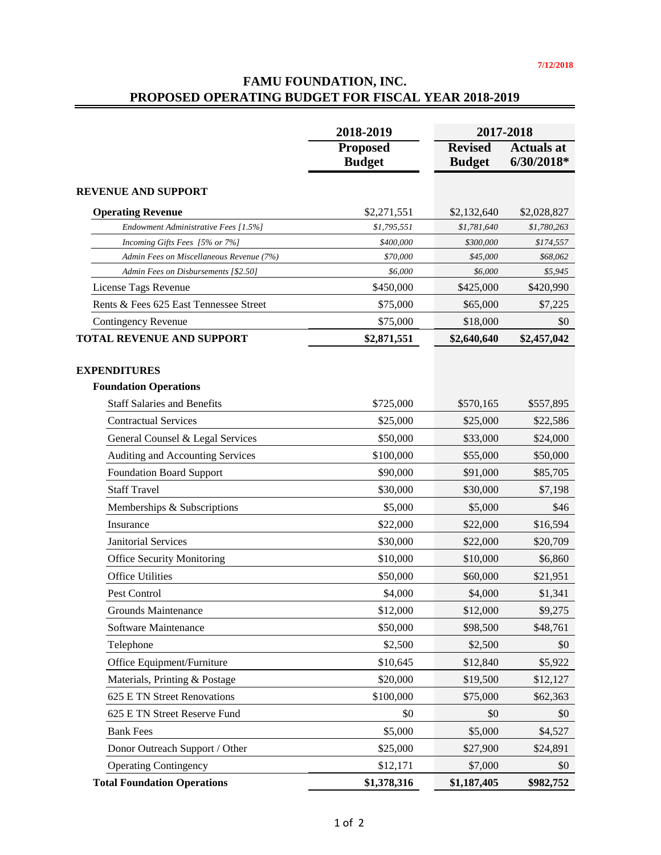### **FAMU FOUNDATION, INC. PROPOSED OPERATING BUDGET FOR FISCAL YEAR 2018-2019**

|                                          | 2018-2019                        | 2017-2018                       |                                   |  |
|------------------------------------------|----------------------------------|---------------------------------|-----------------------------------|--|
|                                          | <b>Proposed</b><br><b>Budget</b> | <b>Revised</b><br><b>Budget</b> | <b>Actuals at</b><br>$6/30/2018*$ |  |
| <b>REVENUE AND SUPPORT</b>               |                                  |                                 |                                   |  |
| <b>Operating Revenue</b>                 | \$2,271,551                      | \$2,132,640                     | \$2,028,827                       |  |
| Endowment Administrative Fees [1.5%]     | \$1,795,551                      | \$1,781,640                     | \$1,780,263                       |  |
| Incoming Gifts Fees [5% or 7%]           | \$400,000                        | \$300,000                       | \$174,557                         |  |
| Admin Fees on Miscellaneous Revenue (7%) | \$70,000                         | \$45,000                        | \$68,062                          |  |
| Admin Fees on Disbursements [\$2.50]     | \$6,000                          | \$6,000                         | \$5,945                           |  |
| License Tags Revenue                     | \$450,000                        | \$425,000                       | \$420,990                         |  |
| Rents & Fees 625 East Tennessee Street   | \$75,000                         | \$65,000                        | \$7,225                           |  |
| <b>Contingency Revenue</b>               | \$75,000                         | \$18,000                        | \$0                               |  |
| <b>TOTAL REVENUE AND SUPPORT</b>         | \$2,871,551                      | \$2,640,640                     | \$2,457,042                       |  |
| <b>EXPENDITURES</b>                      |                                  |                                 |                                   |  |
| <b>Foundation Operations</b>             |                                  |                                 |                                   |  |
| <b>Staff Salaries and Benefits</b>       | \$725,000                        | \$570,165                       | \$557,895                         |  |
| <b>Contractual Services</b>              | \$25,000                         | \$25,000                        | \$22,586                          |  |
| General Counsel & Legal Services         | \$50,000                         | \$33,000                        | \$24,000                          |  |
| Auditing and Accounting Services         | \$100,000                        | \$55,000                        | \$50,000                          |  |
| <b>Foundation Board Support</b>          | \$90,000                         | \$91,000                        | \$85,705                          |  |
| <b>Staff Travel</b>                      | \$30,000                         | \$30,000                        | \$7,198                           |  |
| Memberships & Subscriptions              | \$5,000                          | \$5,000                         | \$46                              |  |
| Insurance                                | \$22,000                         | \$22,000                        | \$16,594                          |  |
| <b>Janitorial Services</b>               | \$30,000                         | \$22,000                        | \$20,709                          |  |
| <b>Office Security Monitoring</b>        | \$10,000                         | \$10,000                        | \$6,860                           |  |
| <b>Office Utilities</b>                  | \$50,000                         | \$60,000                        | \$21,951                          |  |
| Pest Control                             | \$4,000                          | \$4,000                         | \$1,341                           |  |
| Grounds Maintenance                      | \$12,000                         | \$12,000                        | \$9,275                           |  |
| Software Maintenance                     | \$50,000                         | \$98,500                        | \$48,761                          |  |
| Telephone                                | \$2,500                          | \$2,500                         | \$0                               |  |
| Office Equipment/Furniture               | \$10,645                         | \$12,840                        | \$5,922                           |  |
| Materials, Printing & Postage            | \$20,000                         | \$19,500                        | \$12,127                          |  |
| 625 E TN Street Renovations              | \$100,000                        | \$75,000                        | \$62,363                          |  |
| 625 E TN Street Reserve Fund             | \$0                              | \$0                             | \$0                               |  |
| <b>Bank Fees</b>                         | \$5,000                          | \$5,000                         | \$4,527                           |  |
| Donor Outreach Support / Other           | \$25,000                         | \$27,900                        | \$24,891                          |  |
| <b>Operating Contingency</b>             | \$12,171                         | \$7,000                         | \$0                               |  |
| <b>Total Foundation Operations</b>       | \$1,378,316                      | \$1,187,405                     | \$982,752                         |  |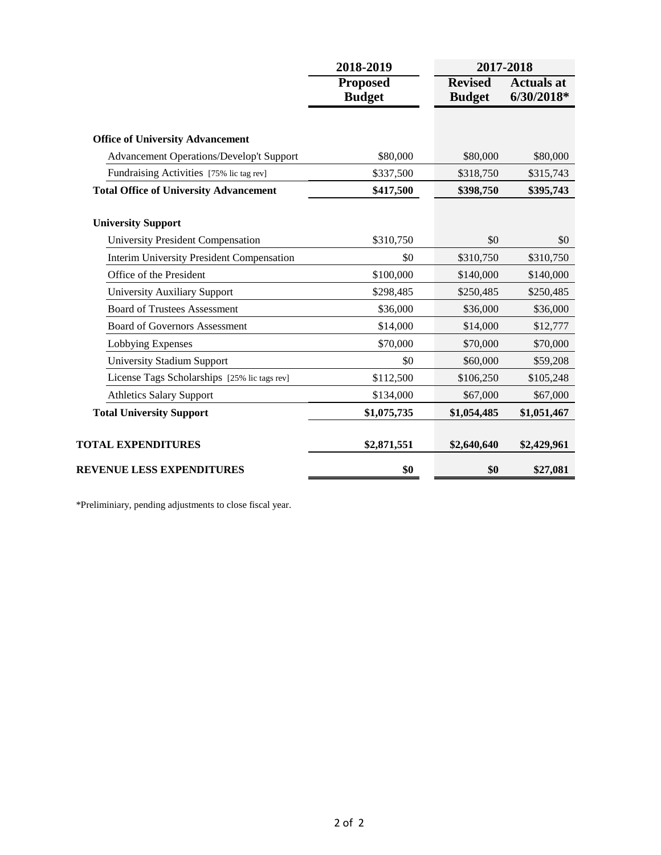|                                                  | 2018-2019                        | 2017-2018                       |                                   |  |
|--------------------------------------------------|----------------------------------|---------------------------------|-----------------------------------|--|
|                                                  | <b>Proposed</b><br><b>Budget</b> | <b>Revised</b><br><b>Budget</b> | <b>Actuals at</b><br>$6/30/2018*$ |  |
| <b>Office of University Advancement</b>          |                                  |                                 |                                   |  |
| <b>Advancement Operations/Develop't Support</b>  | \$80,000                         | \$80,000                        | \$80,000                          |  |
| Fundraising Activities [75% lic tag rev]         | \$337,500                        | \$318,750                       | \$315,743                         |  |
| <b>Total Office of University Advancement</b>    | \$417,500                        | \$398,750                       | \$395,743                         |  |
| <b>University Support</b>                        |                                  |                                 |                                   |  |
| <b>University President Compensation</b>         | \$310,750                        | \$0                             | \$0                               |  |
| <b>Interim University President Compensation</b> | \$0                              | \$310,750                       | \$310,750                         |  |
| Office of the President                          | \$100,000                        | \$140,000                       | \$140,000                         |  |
| <b>University Auxiliary Support</b>              | \$298,485                        | \$250,485                       | \$250,485                         |  |
| <b>Board of Trustees Assessment</b>              | \$36,000                         | \$36,000                        | \$36,000                          |  |
| <b>Board of Governors Assessment</b>             | \$14,000                         | \$14,000                        | \$12,777                          |  |
| Lobbying Expenses                                | \$70,000                         | \$70,000                        | \$70,000                          |  |
| <b>University Stadium Support</b>                | \$0                              | \$60,000                        | \$59,208                          |  |
| License Tags Scholarships [25% lic tags rev]     | \$112,500                        | \$106,250                       | \$105,248                         |  |
| <b>Athletics Salary Support</b>                  | \$134,000                        | \$67,000                        | \$67,000                          |  |
| <b>Total University Support</b>                  | \$1,075,735                      | \$1,054,485                     | \$1,051,467                       |  |
| <b>TOTAL EXPENDITURES</b>                        | \$2,871,551                      | \$2,640,640                     | \$2,429,961                       |  |
| <b>REVENUE LESS EXPENDITURES</b>                 | \$0                              | \$0                             | \$27,081                          |  |

\*Preliminiary, pending adjustments to close fiscal year.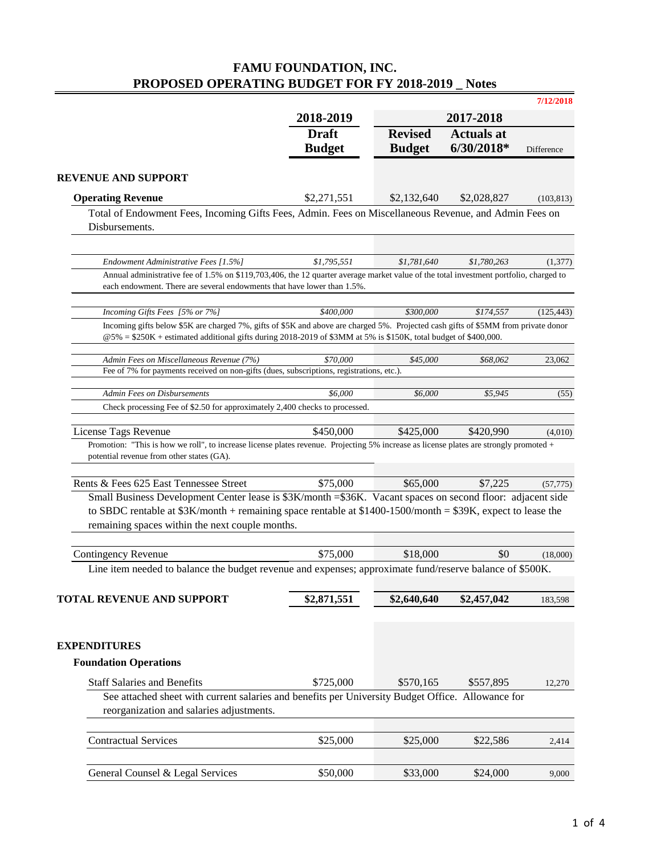# **FAMU FOUNDATION, INC. PROPOSED OPERATING BUDGET FOR FY 2018-2019 \_ Notes**

|                                                                                                                                                                                                                                                         |                               |                                 |                                 | 7/12/2018  |
|---------------------------------------------------------------------------------------------------------------------------------------------------------------------------------------------------------------------------------------------------------|-------------------------------|---------------------------------|---------------------------------|------------|
|                                                                                                                                                                                                                                                         | 2018-2019                     |                                 | 2017-2018                       |            |
|                                                                                                                                                                                                                                                         | <b>Draft</b><br><b>Budget</b> | <b>Revised</b><br><b>Budget</b> | <b>Actuals</b> at<br>6/30/2018* | Difference |
| <b>REVENUE AND SUPPORT</b>                                                                                                                                                                                                                              |                               |                                 |                                 |            |
| <b>Operating Revenue</b>                                                                                                                                                                                                                                | \$2,271,551                   | \$2,132,640                     | \$2,028,827                     | (103, 813) |
| Total of Endowment Fees, Incoming Gifts Fees, Admin. Fees on Miscellaneous Revenue, and Admin Fees on                                                                                                                                                   |                               |                                 |                                 |            |
| Disbursements.                                                                                                                                                                                                                                          |                               |                                 |                                 |            |
| Endowment Administrative Fees [1.5%]                                                                                                                                                                                                                    | \$1,795,551                   | \$1,781,640                     | \$1,780,263                     | (1, 377)   |
| Annual administrative fee of 1.5% on \$119,703,406, the 12 quarter average market value of the total investment portfolio, charged to                                                                                                                   |                               |                                 |                                 |            |
| each endowment. There are several endowments that have lower than 1.5%.                                                                                                                                                                                 |                               |                                 |                                 |            |
| Incoming Gifts Fees [5% or 7%]                                                                                                                                                                                                                          | \$400,000                     | \$300,000                       | \$174,557                       | (125, 443) |
| Incoming gifts below \$5K are charged 7%, gifts of \$5K and above are charged 5%. Projected cash gifts of \$5MM from private donor<br>$@5\% = $250K +$ estimated additional gifts during 2018-2019 of \$3MM at 5% is \$150K, total budget of \$400,000. |                               |                                 |                                 |            |
|                                                                                                                                                                                                                                                         |                               |                                 |                                 |            |
| Admin Fees on Miscellaneous Revenue (7%)<br>Fee of 7% for payments received on non-gifts (dues, subscriptions, registrations, etc.).                                                                                                                    | \$70,000                      | \$45,000                        | \$68,062                        | 23,062     |
| <b>Admin Fees on Disbursements</b>                                                                                                                                                                                                                      | \$6,000                       | \$6,000                         | \$5,945                         | (55)       |
| Check processing Fee of \$2.50 for approximately 2,400 checks to processed.                                                                                                                                                                             |                               |                                 |                                 |            |
| License Tags Revenue                                                                                                                                                                                                                                    | \$450,000                     | \$425,000                       | \$420,990                       | (4,010)    |
| Promotion: "This is how we roll", to increase license plates revenue. Projecting 5% increase as license plates are strongly promoted +                                                                                                                  |                               |                                 |                                 |            |
| potential revenue from other states (GA).                                                                                                                                                                                                               |                               |                                 |                                 |            |
| Rents & Fees 625 East Tennessee Street                                                                                                                                                                                                                  | \$75,000                      | \$65,000                        | \$7,225                         | (57, 775)  |
| Small Business Development Center lease is \$3K/month = \$36K. Vacant spaces on second floor: adjacent side                                                                                                                                             |                               |                                 |                                 |            |
| to SBDC rentable at $$3K/month + remaining space$ rentable at $$1400-1500/month = $39K$ , expect to lease the                                                                                                                                           |                               |                                 |                                 |            |
| remaining spaces within the next couple months.                                                                                                                                                                                                         |                               |                                 |                                 |            |
| <b>Contingency Revenue</b>                                                                                                                                                                                                                              | \$75,000                      | \$18,000                        | \$0                             | (18,000)   |
| Line item needed to balance the budget revenue and expenses; approximate fund/reserve balance of \$500K.                                                                                                                                                |                               |                                 |                                 |            |
|                                                                                                                                                                                                                                                         |                               |                                 |                                 |            |
| <b>TOTAL REVENUE AND SUPPORT</b>                                                                                                                                                                                                                        | \$2,871,551                   | \$2,640,640                     | \$2,457,042                     | 183,598    |
|                                                                                                                                                                                                                                                         |                               |                                 |                                 |            |
| <b>EXPENDITURES</b>                                                                                                                                                                                                                                     |                               |                                 |                                 |            |
| <b>Foundation Operations</b>                                                                                                                                                                                                                            |                               |                                 |                                 |            |
| <b>Staff Salaries and Benefits</b>                                                                                                                                                                                                                      | \$725,000                     | \$570,165                       | \$557,895                       | 12,270     |
| See attached sheet with current salaries and benefits per University Budget Office. Allowance for                                                                                                                                                       |                               |                                 |                                 |            |
| reorganization and salaries adjustments.                                                                                                                                                                                                                |                               |                                 |                                 |            |
| <b>Contractual Services</b>                                                                                                                                                                                                                             | \$25,000                      | \$25,000                        | \$22,586                        | 2,414      |
|                                                                                                                                                                                                                                                         |                               |                                 |                                 |            |
| General Counsel & Legal Services                                                                                                                                                                                                                        | \$50,000                      | \$33,000                        | \$24,000                        | 9,000      |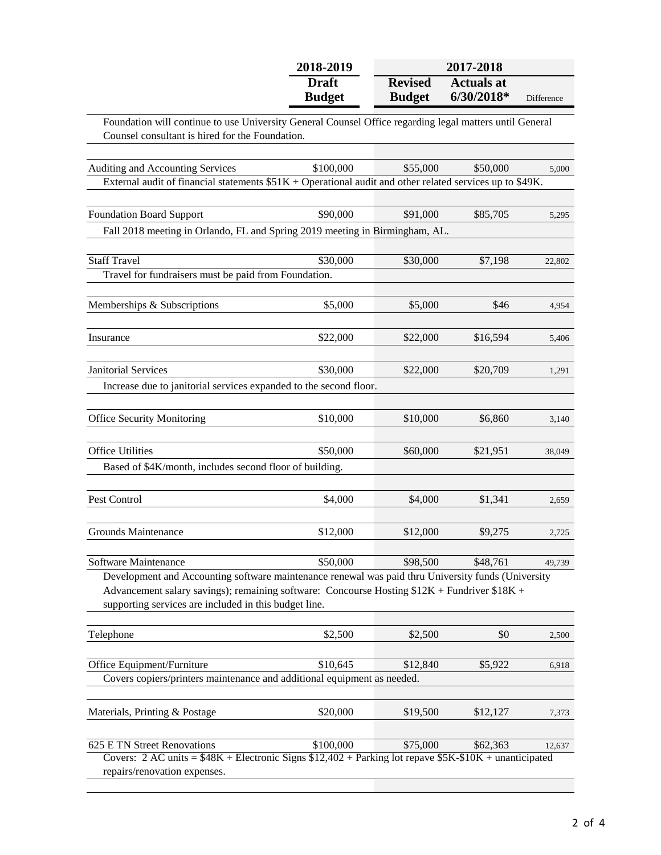|                                                                                                                                                            | 2018-2019                     | 2017-2018                       |                                 |            |
|------------------------------------------------------------------------------------------------------------------------------------------------------------|-------------------------------|---------------------------------|---------------------------------|------------|
|                                                                                                                                                            | <b>Draft</b><br><b>Budget</b> | <b>Revised</b><br><b>Budget</b> | <b>Actuals at</b><br>6/30/2018* | Difference |
| Foundation will continue to use University General Counsel Office regarding legal matters until General<br>Counsel consultant is hired for the Foundation. |                               |                                 |                                 |            |
| Auditing and Accounting Services                                                                                                                           | \$100,000                     | \$55,000                        | \$50,000                        |            |
| External audit of financial statements $$51K +$ Operational audit and other related services up to \$49K.                                                  |                               |                                 |                                 | 5,000      |
|                                                                                                                                                            |                               |                                 |                                 |            |
| <b>Foundation Board Support</b>                                                                                                                            | \$90,000                      | \$91,000                        | \$85,705                        | 5,295      |
| Fall 2018 meeting in Orlando, FL and Spring 2019 meeting in Birmingham, AL.                                                                                |                               |                                 |                                 |            |
| <b>Staff Travel</b>                                                                                                                                        |                               |                                 |                                 |            |
| Travel for fundraisers must be paid from Foundation.                                                                                                       | \$30,000                      | \$30,000                        | \$7,198                         | 22,802     |
|                                                                                                                                                            |                               |                                 |                                 |            |
| Memberships & Subscriptions                                                                                                                                | \$5,000                       | \$5,000                         | \$46                            | 4,954      |
|                                                                                                                                                            |                               |                                 |                                 |            |
| Insurance                                                                                                                                                  | \$22,000                      | \$22,000                        | \$16,594                        | 5,406      |
| <b>Janitorial Services</b>                                                                                                                                 | \$30,000                      | \$22,000                        | \$20,709                        | 1,291      |
| Increase due to janitorial services expanded to the second floor.                                                                                          |                               |                                 |                                 |            |
|                                                                                                                                                            |                               |                                 |                                 |            |
| <b>Office Security Monitoring</b>                                                                                                                          | \$10,000                      | \$10,000                        | \$6,860                         | 3,140      |
| <b>Office Utilities</b>                                                                                                                                    | \$50,000                      | \$60,000                        |                                 |            |
| Based of \$4K/month, includes second floor of building.                                                                                                    |                               |                                 | \$21,951                        | 38,049     |
|                                                                                                                                                            |                               |                                 |                                 |            |
| Pest Control                                                                                                                                               | \$4,000                       | \$4,000                         | \$1,341                         | 2,659      |
|                                                                                                                                                            |                               |                                 |                                 |            |
| Grounds Maintenance                                                                                                                                        | \$12,000                      | \$12,000                        | \$9,275                         | 2,725      |
| Software Maintenance                                                                                                                                       | \$50,000                      | \$98,500                        | \$48,761                        | 49,739     |
| Development and Accounting software maintenance renewal was paid thru University funds (University                                                         |                               |                                 |                                 |            |
| Advancement salary savings); remaining software: Concourse Hosting \$12K + Fundriver \$18K +                                                               |                               |                                 |                                 |            |
| supporting services are included in this budget line.                                                                                                      |                               |                                 |                                 |            |
| Telephone                                                                                                                                                  | \$2,500                       | \$2,500                         | \$0                             | 2,500      |
|                                                                                                                                                            |                               |                                 |                                 |            |
| Office Equipment/Furniture                                                                                                                                 | \$10,645                      | \$12,840                        | \$5,922                         | 6,918      |
| Covers copiers/printers maintenance and additional equipment as needed.                                                                                    |                               |                                 |                                 |            |
| Materials, Printing & Postage                                                                                                                              | \$20,000                      | \$19,500                        | \$12,127                        | 7,373      |
|                                                                                                                                                            |                               |                                 |                                 |            |
| 625 E TN Street Renovations                                                                                                                                | \$100,000                     | \$75,000                        | \$62,363                        | 12,637     |
| Covers: $2 AC \text{ units} = $48K + \text{Electronic Signs } $12,402 + \text{Parking lot repave } $5K - $10K + \text{unanticipated}$                      |                               |                                 |                                 |            |
| repairs/renovation expenses.                                                                                                                               |                               |                                 |                                 |            |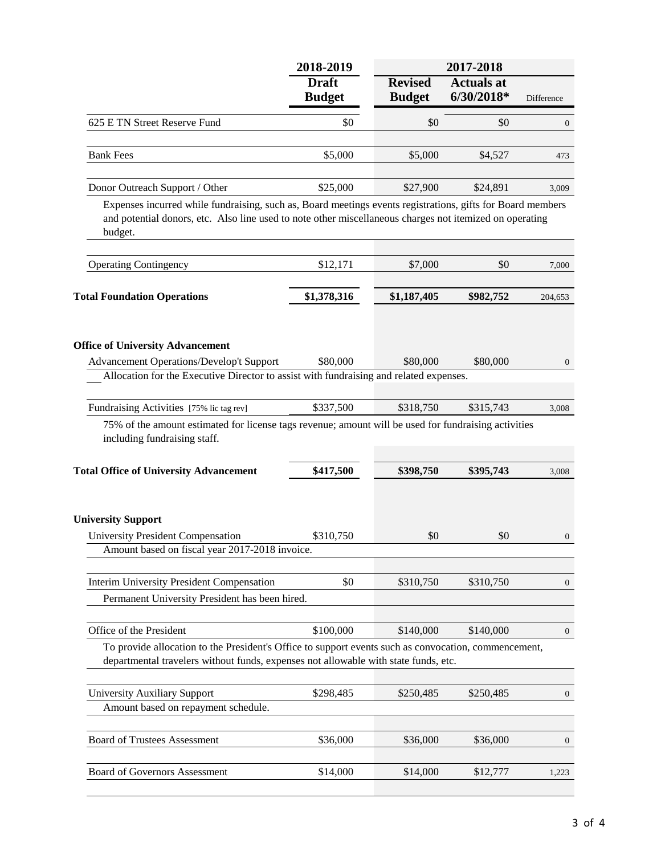|                                                                                                                                                                                                                                  | 2018-2019                     |                                 | 2017-2018                       |                  |
|----------------------------------------------------------------------------------------------------------------------------------------------------------------------------------------------------------------------------------|-------------------------------|---------------------------------|---------------------------------|------------------|
|                                                                                                                                                                                                                                  | <b>Draft</b><br><b>Budget</b> | <b>Revised</b><br><b>Budget</b> | <b>Actuals at</b><br>6/30/2018* | Difference       |
| 625 E TN Street Reserve Fund                                                                                                                                                                                                     | \$0                           | \$0                             | \$0                             | $\boldsymbol{0}$ |
| <b>Bank Fees</b>                                                                                                                                                                                                                 | \$5,000                       | \$5,000                         | \$4,527                         | 473              |
| Donor Outreach Support / Other                                                                                                                                                                                                   | \$25,000                      | \$27,900                        | \$24,891                        | 3,009            |
| Expenses incurred while fundraising, such as, Board meetings events registrations, gifts for Board members<br>and potential donors, etc. Also line used to note other miscellaneous charges not itemized on operating<br>budget. |                               |                                 |                                 |                  |
| <b>Operating Contingency</b>                                                                                                                                                                                                     | \$12,171                      | \$7,000                         | \$0                             | 7,000            |
| <b>Total Foundation Operations</b>                                                                                                                                                                                               | \$1,378,316                   | \$1,187,405                     | \$982,752                       | 204,653          |
| <b>Office of University Advancement</b><br><b>Advancement Operations/Develop't Support</b><br>Allocation for the Executive Director to assist with fundraising and related expenses.                                             | \$80,000                      | \$80,000                        | \$80,000                        | $\mathbf{0}$     |
| Fundraising Activities [75% lic tag rev]<br>75% of the amount estimated for license tags revenue; amount will be used for fundraising activities<br>including fundraising staff.                                                 | \$337,500                     | \$318,750                       | \$315,743                       | 3,008            |
| <b>Total Office of University Advancement</b>                                                                                                                                                                                    | \$417,500                     | \$398,750                       | \$395,743                       | 3,008            |
| <b>University Support</b><br><b>University President Compensation</b><br>Amount based on fiscal year 2017-2018 invoice.                                                                                                          | \$310,750                     | \$0                             | \$0                             | $\boldsymbol{0}$ |
| Interim University President Compensation<br>Permanent University President has been hired.                                                                                                                                      | \$0                           | \$310,750                       | \$310,750                       | 0                |
| Office of the President<br>To provide allocation to the President's Office to support events such as convocation, commencement,<br>departmental travelers without funds, expenses not allowable with state funds, etc.           | \$100,000                     | \$140,000                       | \$140,000                       | $\boldsymbol{0}$ |
| <b>University Auxiliary Support</b><br>Amount based on repayment schedule.                                                                                                                                                       | \$298,485                     | \$250,485                       | \$250,485                       | $\overline{0}$   |
| <b>Board of Trustees Assessment</b>                                                                                                                                                                                              | \$36,000                      | \$36,000                        | \$36,000                        | $\mathbf{0}$     |
| <b>Board of Governors Assessment</b>                                                                                                                                                                                             | \$14,000                      | \$14,000                        | \$12,777                        | 1,223            |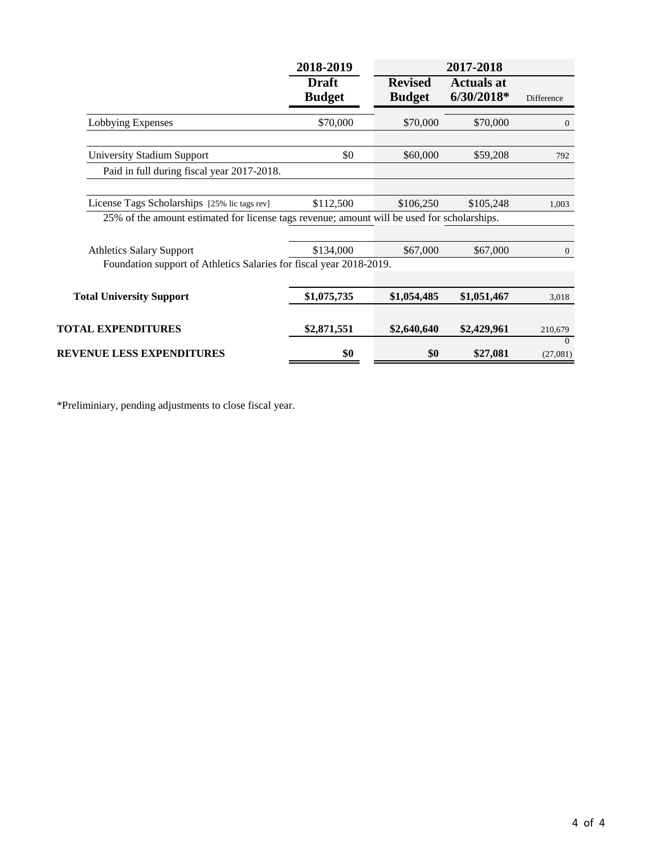|                                                                                                                                             | 2018-2019<br>2017-2018        |                                 |                                   |                      |
|---------------------------------------------------------------------------------------------------------------------------------------------|-------------------------------|---------------------------------|-----------------------------------|----------------------|
|                                                                                                                                             | <b>Draft</b><br><b>Budget</b> | <b>Revised</b><br><b>Budget</b> | <b>Actuals at</b><br>$6/30/2018*$ | Difference           |
| Lobbying Expenses                                                                                                                           | \$70,000                      | \$70,000                        | \$70,000                          | $\mathbf{0}$         |
| <b>University Stadium Support</b>                                                                                                           | \$0                           | \$60,000                        | \$59,208                          | 792                  |
| Paid in full during fiscal year 2017-2018.                                                                                                  |                               |                                 |                                   |                      |
| License Tags Scholarships [25% lic tags rev]<br>25% of the amount estimated for license tags revenue; amount will be used for scholarships. | \$112,500                     | \$106,250                       | \$105,248                         | 1,003                |
|                                                                                                                                             |                               |                                 |                                   |                      |
| <b>Athletics Salary Support</b>                                                                                                             | \$134,000                     | \$67,000                        | \$67,000                          | $\overline{0}$       |
| Foundation support of Athletics Salaries for fiscal year 2018-2019.                                                                         |                               |                                 |                                   |                      |
| <b>Total University Support</b>                                                                                                             | \$1,075,735                   | \$1,054,485                     | \$1,051,467                       | 3,018                |
| <b>TOTAL EXPENDITURES</b>                                                                                                                   | \$2,871,551                   | \$2,640,640                     | \$2,429,961                       | 210,679              |
| <b>REVENUE LESS EXPENDITURES</b>                                                                                                            | \$0                           | \$0                             | \$27,081                          | $\Omega$<br>(27,081) |

\*Preliminiary, pending adjustments to close fiscal year.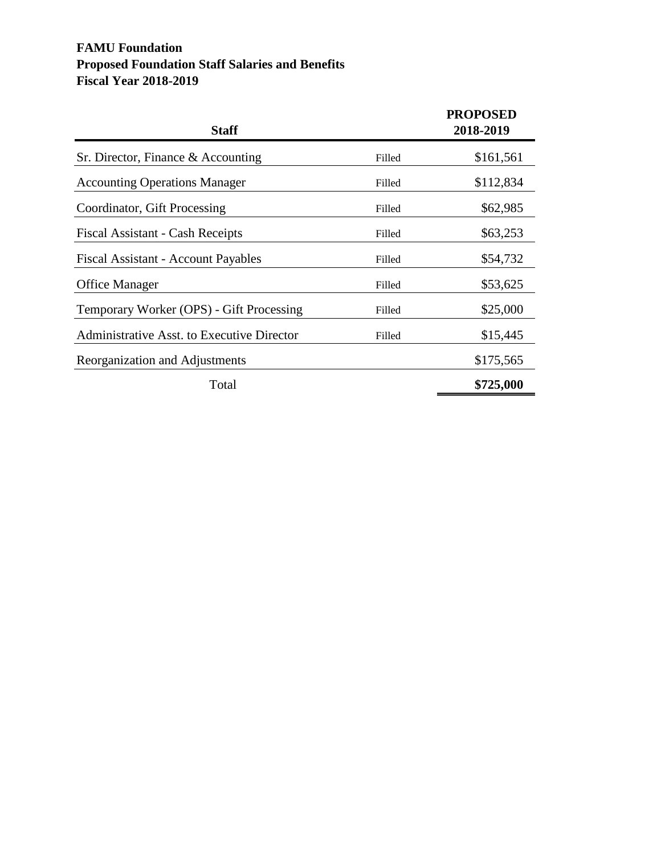### **FAMU Foundation Proposed Foundation Staff Salaries and Benefits Fiscal Year 2018-2019**

| <b>Staff</b>                               |        | <b>PROPOSED</b><br>2018-2019 |
|--------------------------------------------|--------|------------------------------|
| Sr. Director, Finance & Accounting         | Filled | \$161,561                    |
| <b>Accounting Operations Manager</b>       | Filled | \$112,834                    |
| Coordinator, Gift Processing               | Filled | \$62,985                     |
| Fiscal Assistant - Cash Receipts           | Filled | \$63,253                     |
| Fiscal Assistant - Account Payables        | Filled | \$54,732                     |
| <b>Office Manager</b>                      | Filled | \$53,625                     |
| Temporary Worker (OPS) - Gift Processing   | Filled | \$25,000                     |
| Administrative Asst. to Executive Director | Filled | \$15,445                     |
| Reorganization and Adjustments             |        | \$175,565                    |
| Total                                      |        | \$725,000                    |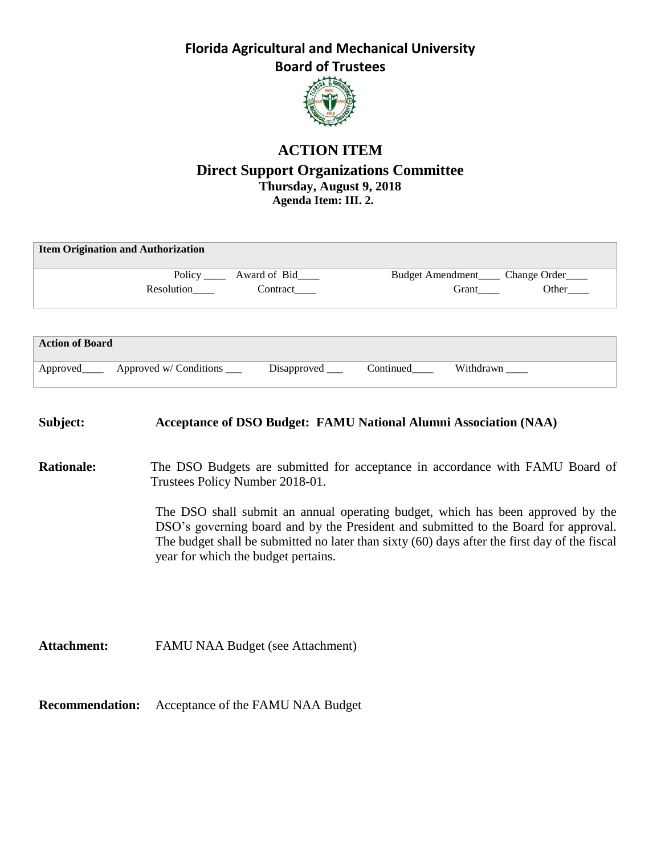

## **ACTION ITEM Direct Support Organizations Committee Thursday, August 9, 2018 Agenda Item: III. 2.**

| <b>Item Origination and Authorization</b> |                                  |                                         |
|-------------------------------------------|----------------------------------|-----------------------------------------|
|                                           | Policy _______ Award of Bid_____ | Budget Amendment<br><u>Change Order</u> |
| Resolution                                | Contract                         | Other<br>Grant                          |
|                                           |                                  |                                         |
|                                           |                                  |                                         |
| <b>Action of Board</b>                    |                                  |                                         |

| Approved | Approved w/ Conditions | <b>Disapproved</b> | Continued |  |
|----------|------------------------|--------------------|-----------|--|
|          |                        |                    |           |  |

| Subject:           | <b>Acceptance of DSO Budget: FAMU National Alumni Association (NAA)</b>                                                                                                                                                                                                                                        |
|--------------------|----------------------------------------------------------------------------------------------------------------------------------------------------------------------------------------------------------------------------------------------------------------------------------------------------------------|
| <b>Rationale:</b>  | The DSO Budgets are submitted for acceptance in accordance with FAMU Board of<br>Trustees Policy Number 2018-01.                                                                                                                                                                                               |
|                    | The DSO shall submit an annual operating budget, which has been approved by the<br>DSO's governing board and by the President and submitted to the Board for approval.<br>The budget shall be submitted no later than sixty (60) days after the first day of the fiscal<br>year for which the budget pertains. |
| <b>Attachment:</b> | FAMU NAA Budget (see Attachment)                                                                                                                                                                                                                                                                               |

**Recommendation:** Acceptance of the FAMU NAA Budget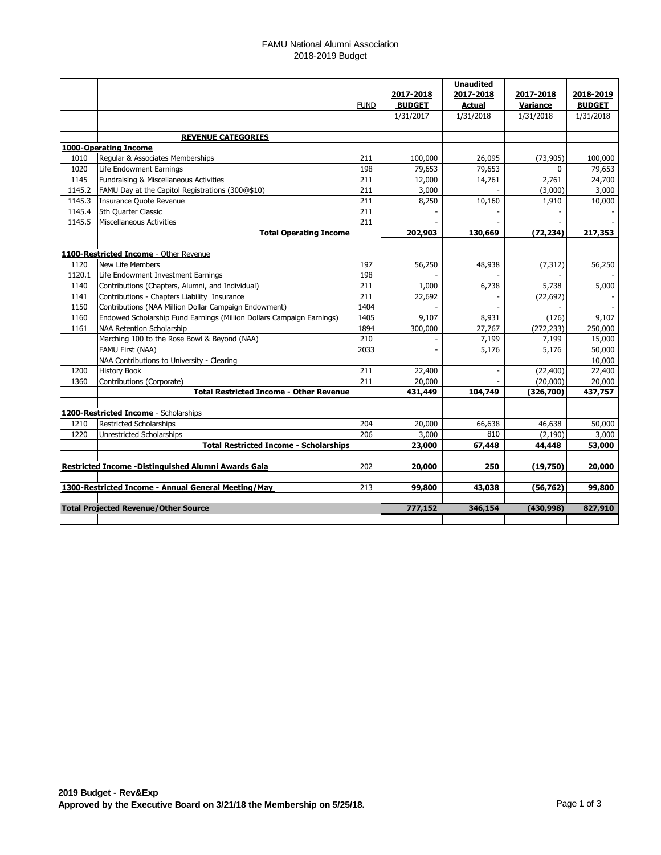#### FAMU National Alumni Association 2018-2019 Budget

|        |                                                                       |             |               | <b>Unaudited</b> |            |               |
|--------|-----------------------------------------------------------------------|-------------|---------------|------------------|------------|---------------|
|        |                                                                       |             | 2017-2018     | 2017-2018        | 2017-2018  | 2018-2019     |
|        |                                                                       | <b>FUND</b> | <b>BUDGET</b> | <b>Actual</b>    | Variance   | <b>BUDGET</b> |
|        |                                                                       |             | 1/31/2017     | 1/31/2018        | 1/31/2018  | 1/31/2018     |
|        |                                                                       |             |               |                  |            |               |
|        | <b>REVENUE CATEGORIES</b>                                             |             |               |                  |            |               |
|        | 1000-Operating Income                                                 |             |               |                  |            |               |
| 1010   | Regular & Associates Memberships                                      | 211         | 100,000       | 26,095           | (73, 905)  | 100,000       |
| 1020   | Life Endowment Earnings                                               | 198         | 79,653        | 79,653           | $\Omega$   | 79,653        |
| 1145   | Fundraising & Miscellaneous Activities                                | 211         | 12,000        | 14,761           | 2,761      | 24,700        |
| 1145.2 | FAMU Day at the Capitol Registrations (300@\$10)                      | 211         | 3,000         |                  | (3,000)    | 3,000         |
| 1145.3 | Insurance Quote Revenue                                               | 211         | 8,250         | 10,160           | 1,910      | 10,000        |
| 1145.4 | 5th Quarter Classic                                                   | 211         |               |                  |            |               |
| 1145.5 | Miscellaneous Activities                                              | 211         |               |                  |            |               |
|        | <b>Total Operating Income</b>                                         |             | 202,903       | 130,669          | (72, 234)  | 217,353       |
|        |                                                                       |             |               |                  |            |               |
|        | 1100-Restricted Income - Other Revenue                                |             |               |                  |            |               |
| 1120   | New Life Members                                                      | 197         | 56,250        | 48,938           | (7, 312)   | 56,250        |
| 1120.1 | Life Endowment Investment Earnings                                    | 198         |               |                  |            |               |
| 1140   | Contributions (Chapters, Alumni, and Individual)                      | 211         | 1,000         | 6,738            | 5,738      | 5,000         |
| 1141   | Contributions - Chapters Liability Insurance                          | 211         | 22,692        |                  | (22, 692)  |               |
| 1150   | Contributions (NAA Million Dollar Campaign Endowment)                 | 1404        |               |                  |            |               |
| 1160   | Endowed Scholarship Fund Earnings (Million Dollars Campaign Earnings) | 1405        | 9,107         | 8,931            | (176)      | 9,107         |
| 1161   | NAA Retention Scholarship                                             | 1894        | 300,000       | 27,767           | (272, 233) | 250,000       |
|        | Marching 100 to the Rose Bowl & Beyond (NAA)                          | 210         |               | 7,199            | 7,199      | 15,000        |
|        | FAMU First (NAA)                                                      | 2033        | ÷.            | 5,176            | 5,176      | 50,000        |
|        | NAA Contributions to University - Clearing                            |             |               |                  |            | 10,000        |
| 1200   | <b>History Book</b>                                                   | 211         | 22,400        |                  | (22, 400)  | 22,400        |
| 1360   | Contributions (Corporate)                                             | 211         | 20,000        |                  | (20,000)   | 20,000        |
|        | <b>Total Restricted Income - Other Revenue</b>                        |             | 431,449       | 104,749          | (326,700)  | 437,757       |
|        |                                                                       |             |               |                  |            |               |
|        | 1200-Restricted Income - Scholarships                                 |             |               |                  |            |               |
| 1210   | <b>Restricted Scholarships</b>                                        | 204         | 20,000        | 66,638           | 46,638     | 50,000        |
| 1220   | Unrestricted Scholarships                                             | 206         | 3,000         | 810              | (2, 190)   | 3,000         |
|        | <b>Total Restricted Income - Scholarships</b>                         |             | 23,000        | 67,448           | 44,448     | 53,000        |
|        |                                                                       |             |               |                  |            |               |
|        | Restricted Income - Distinguished Alumni Awards Gala                  | 202         | 20,000        | 250              | (19,750)   | 20,000        |
|        |                                                                       |             |               |                  |            |               |
|        | 1300-Restricted Income - Annual General Meeting/May                   | 213         | 99,800        | 43,038           | (56, 762)  | 99,800        |
|        |                                                                       |             |               |                  |            |               |
|        | <b>Total Projected Revenue/Other Source</b>                           |             | 777,152       | 346,154          | (430, 998) | 827,910       |
|        |                                                                       |             |               |                  |            |               |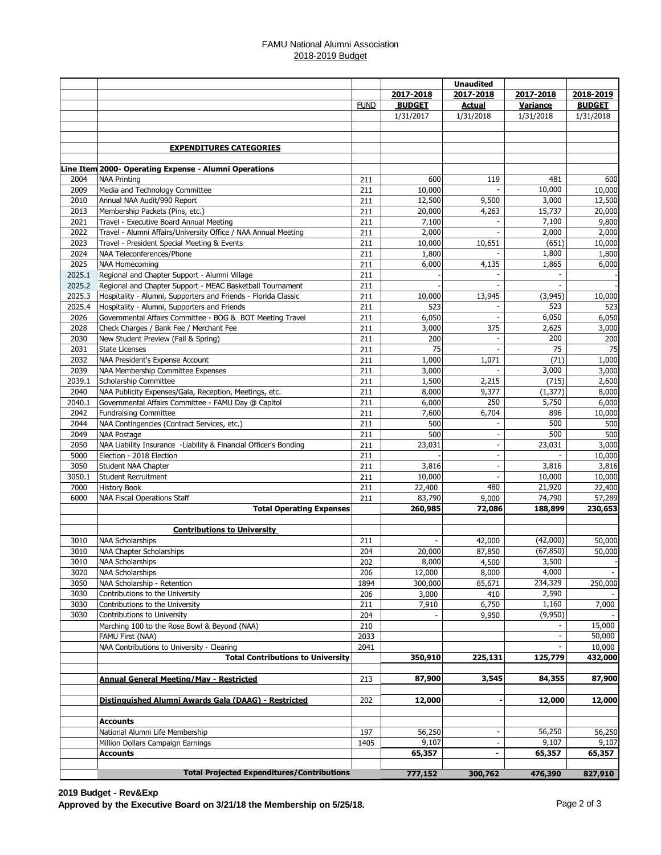#### FAMU National Alumni Association 2018-2019 Budget

|              |                                                                  |             |                 | <b>Unaudited</b> |                 |                  |
|--------------|------------------------------------------------------------------|-------------|-----------------|------------------|-----------------|------------------|
|              |                                                                  |             | 2017-2018       | 2017-2018        | 2017-2018       | 2018-2019        |
|              |                                                                  | <b>FUND</b> | <b>BUDGET</b>   | <b>Actual</b>    | Variance        | <b>BUDGET</b>    |
|              |                                                                  |             | 1/31/2017       | 1/31/2018        | 1/31/2018       | 1/31/2018        |
|              |                                                                  |             |                 |                  |                 |                  |
|              |                                                                  |             |                 |                  |                 |                  |
|              | <b>EXPENDITURES CATEGORIES</b>                                   |             |                 |                  |                 |                  |
|              |                                                                  |             |                 |                  |                 |                  |
|              | Line Item 2000- Operating Expense - Alumni Operations            |             |                 |                  |                 |                  |
| 2004         | <b>NAA Printing</b>                                              | 211         | 600             | 119              | 481             | 600              |
| 2009         | Media and Technology Committee                                   | 211         | 10,000          |                  | 10,000<br>3,000 | 10,000           |
| 2010         | Annual NAA Audit/990 Report<br>Membership Packets (Pins, etc.)   | 211<br>211  | 12,500          | 9,500<br>4,263   | 15,737          | 12,500<br>20,000 |
| 2013<br>2021 | Travel - Executive Board Annual Meeting                          | 211         | 20,000<br>7,100 |                  | 7,100           | 9,800            |
| 2022         | Travel - Alumni Affairs/University Office / NAA Annual Meeting   | 211         | 2,000           |                  | 2,000           | 2,000            |
| 2023         | Travel - President Special Meeting & Events                      | 211         | 10,000          | 10,651           | (651)           | 10,000           |
| 2024         | NAA Teleconferences/Phone                                        | 211         | 1,800           |                  | 1,800           | 1,800            |
| 2025         | <b>NAA Homecoming</b>                                            | 211         | 6,000           | 4,135            | 1,865           | 6,000            |
|              | 2025.1 Regional and Chapter Support - Alumni Village             | 211         |                 |                  |                 |                  |
|              | 2025.2 Regional and Chapter Support - MEAC Basketball Tournament | 211         |                 |                  |                 |                  |
| 2025.3       | Hospitality - Alumni, Supporters and Friends - Florida Classic   | 211         | 10,000          | 13,945           | (3,945)         | 10,000           |
| 2025.4       | Hospitality - Alumni, Supporters and Friends                     | 211         | 523             |                  | 523             | 523              |
| 2026         | Governmental Affairs Committee - BOG & BOT Meeting Travel        | 211         | 6,050           |                  | 6,050           | 6,050            |
| 2028         | Check Charges / Bank Fee / Merchant Fee                          | 211         | 3,000           | 375              | 2,625           | 3,000            |
| 2030         | New Student Preview (Fall & Spring)                              | 211         | 200             |                  | 200             | 200              |
| 2031         | <b>State Licenses</b>                                            | 211         | 75              |                  | 75              | 75               |
| 2032         | NAA President's Expense Account                                  | 211         | 1,000           | 1,071            | (71)            | 1,000            |
| 2039         | NAA Membership Committee Expenses                                | 211         | 3,000           |                  | 3,000           | 3,000            |
| 2039.1       | Scholarship Committee                                            | 211         | 1,500           | 2,215            | (715)           | 2,600            |
| 2040         | NAA Publicity Expenses/Gala, Reception, Meetings, etc.           | 211         | 8,000           | 9,377            | (1, 377)        | 8,000            |
| 2040.1       | Governmental Affairs Committee - FAMU Day @ Capitol              | 211         | 6,000           | 250              | 5,750           | 6,000            |
| 2042         | <b>Fundraising Committee</b>                                     | 211         | 7,600           | 6,704            | 896             | 10,000           |
| 2044         | NAA Contingencies (Contract Services, etc.)                      | 211         | 500             |                  | 500             | 500              |
| 2049         | NAA Postage                                                      | 211         | 500             | $\blacksquare$   | 500             | 500              |
| 2050         | NAA Liability Insurance -Liability & Financial Officer's Bonding | 211         | 23,031          | $\blacksquare$   | 23,031          | 3,000            |
| 5000         | Election - 2018 Election                                         | 211         |                 | $\blacksquare$   |                 | 10,000           |
| 3050         | Student NAA Chapter                                              | 211         | 3,816           | $\blacksquare$   | 3,816           | 3,816            |
| 3050.1       | Student Recruitment                                              | 211         | 10,000          | $\blacksquare$   | 10,000          | 10,000           |
| 7000         | <b>History Book</b>                                              | 211         | 22,400          | 480              | 21,920          | 22,400           |
| 6000         | NAA Fiscal Operations Staff                                      | 211         | 83,790          | 9,000            | 74,790          | 57,289           |
|              | <b>Total Operating Expenses</b>                                  |             | 260,985         | 72,086           | 188,899         | 230,653          |
|              |                                                                  |             |                 |                  |                 |                  |
|              | <b>Contributions to University</b>                               |             |                 |                  |                 |                  |
| 3010         | <b>NAA Scholarships</b>                                          | 211         |                 | 42,000           | (42,000)        | 50,000           |
| 3010         | <b>NAA Chapter Scholarships</b>                                  | 204         | 20,000          | 87,850           | (67, 850)       | 50,000           |
| 3010         | NAA Scholarships                                                 | 202         | 8,000           | 4,500            | 3,500           |                  |
| 3020         | <b>NAA Scholarships</b>                                          | 206         | 12,000          | 8,000            | 4,000           |                  |
| 3050         | NAA Scholarship - Retention                                      | 1894        | 300,000         | 65,671           | 234,329         | 250,000          |
| 3030         | Contributions to the University                                  | 206         | 3,000           | 410              | 2,590           |                  |
| 3030         | Contributions to the University                                  | 211         | 7,910           | 6,750            | 1,160           | 7,000            |
| 3030         | Contributions to University                                      | 204         |                 | 9,950            | (9,950)         |                  |
|              | Marching 100 to the Rose Bowl & Beyond (NAA)                     | 210         |                 |                  |                 | 15,000           |
|              | FAMU First (NAA)                                                 | 2033        |                 |                  |                 | 50,000           |
|              | NAA Contributions to University - Clearing                       | 2041        |                 |                  |                 | 10,000           |
|              | <b>Total Contributions to University</b>                         |             | 350,910         | 225,131          | 125,779         | 432,000          |
|              |                                                                  |             |                 |                  |                 |                  |
|              | Annual General Meeting/May - Restricted                          | 213         | 87,900          | 3,545            | 84,355          | 87,900           |
|              |                                                                  |             |                 |                  |                 |                  |
|              | Distinguished Alumni Awards Gala (DAAG) - Restricted             | 202         | 12,000          |                  | 12,000          | 12,000           |
|              |                                                                  |             |                 |                  |                 |                  |
|              | <b>Accounts</b><br>National Alumni Life Membership               | 197         | 56,250          |                  | 56,250          | 56,250           |
|              | Million Dollars Campaign Earnings                                | 1405        | 9,107           |                  | 9,107           | 9,107            |
|              | <b>Accounts</b>                                                  |             | 65,357          | $\blacksquare$   | 65,357          | 65,357           |
|              |                                                                  |             |                 |                  |                 |                  |
|              | <b>Total Projected Expenditures/Contributions</b>                |             | 777,152         | 300,762          | 476,390         | 827,910          |
|              |                                                                  |             |                 |                  |                 |                  |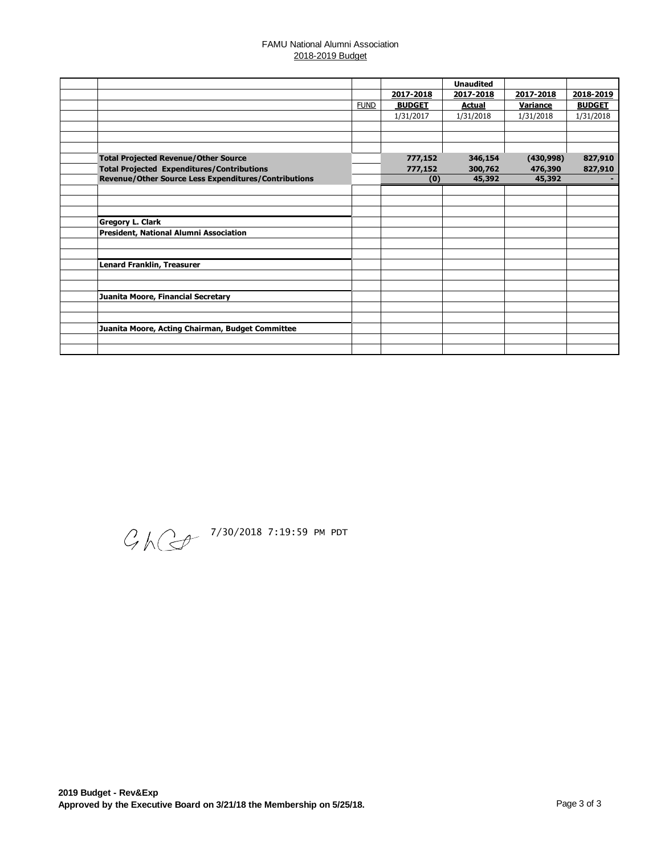#### FAMU National Alumni Association 2018-2019 Budget

|                                                      |             |               | <b>Unaudited</b> |                 |               |
|------------------------------------------------------|-------------|---------------|------------------|-----------------|---------------|
|                                                      |             | 2017-2018     | 2017-2018        | 2017-2018       | 2018-2019     |
|                                                      | <b>FUND</b> | <b>BUDGET</b> | <b>Actual</b>    | <b>Variance</b> | <b>BUDGET</b> |
|                                                      |             | 1/31/2017     | 1/31/2018        | 1/31/2018       | 1/31/2018     |
|                                                      |             |               |                  |                 |               |
|                                                      |             |               |                  |                 |               |
|                                                      |             |               |                  |                 |               |
| <b>Total Projected Revenue/Other Source</b>          |             | 777,152       | 346,154          | (430,998)       | 827,910       |
| <b>Total Projected Expenditures/Contributions</b>    |             | 777,152       | 300,762          | 476,390         | 827,910       |
| Revenue/Other Source Less Expenditures/Contributions |             | (0)           | 45,392           | 45,392          |               |
|                                                      |             |               |                  |                 |               |
|                                                      |             |               |                  |                 |               |
|                                                      |             |               |                  |                 |               |
| <b>Gregory L. Clark</b>                              |             |               |                  |                 |               |
| President, National Alumni Association               |             |               |                  |                 |               |
|                                                      |             |               |                  |                 |               |
|                                                      |             |               |                  |                 |               |
| <b>Lenard Franklin, Treasurer</b>                    |             |               |                  |                 |               |
|                                                      |             |               |                  |                 |               |
|                                                      |             |               |                  |                 |               |
| Juanita Moore, Financial Secretary                   |             |               |                  |                 |               |
|                                                      |             |               |                  |                 |               |
|                                                      |             |               |                  |                 |               |
| Juanita Moore, Acting Chairman, Budget Committee     |             |               |                  |                 |               |
|                                                      |             |               |                  |                 |               |
|                                                      |             |               |                  |                 |               |

 $\mathcal{G}$  /  $\mathbb{C}$   $^{\frac{7}{30/2018}$  7:19:59 PM PDT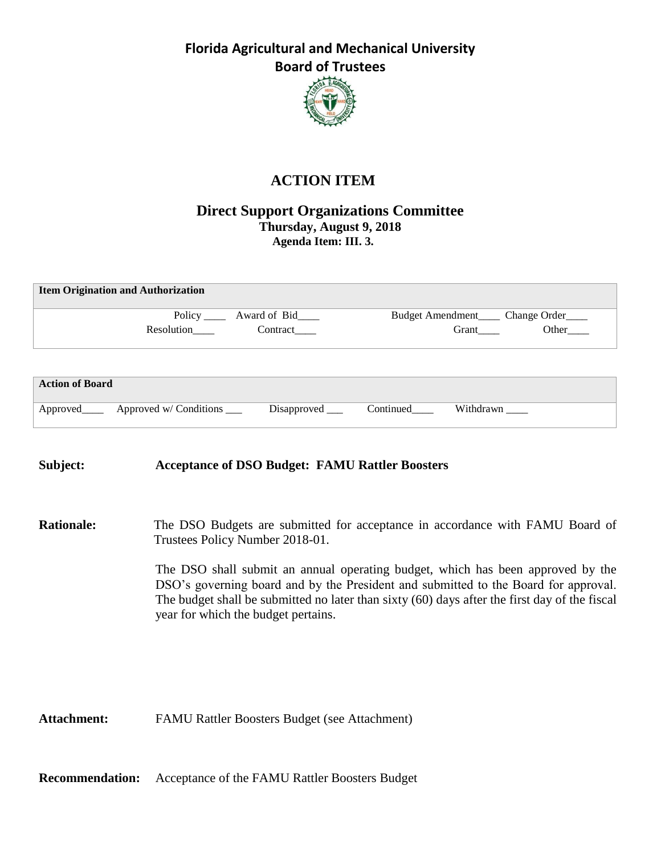

# **ACTION ITEM**

### **Direct Support Organizations Committee Thursday, August 9, 2018 Agenda Item: III. 3.**

| <b>Item Origination and Authorization</b> |                                  |                               |  |  |  |  |  |  |
|-------------------------------------------|----------------------------------|-------------------------------|--|--|--|--|--|--|
|                                           | Policy _______ Award of Bid_____ | Budget Amendment Change Order |  |  |  |  |  |  |
| Resolution                                | Contract                         | Other<br>Grant                |  |  |  |  |  |  |
|                                           |                                  |                               |  |  |  |  |  |  |

| <b>Action of Board</b> |                                             |                    |           |           |
|------------------------|---------------------------------------------|--------------------|-----------|-----------|
|                        | Approved_______ Approved w/ Conditions ____ | Disapproved $\_\_$ | Continued | Withdrawn |

### **Subject: Acceptance of DSO Budget: FAMU Rattler Boosters**

**Rationale:** The DSO Budgets are submitted for acceptance in accordance with FAMU Board of Trustees Policy Number 2018-01.

> The DSO shall submit an annual operating budget, which has been approved by the DSO's governing board and by the President and submitted to the Board for approval. The budget shall be submitted no later than sixty (60) days after the first day of the fiscal year for which the budget pertains.

**Attachment:** FAMU Rattler Boosters Budget (see Attachment)

**Recommendation:** Acceptance of the FAMU Rattler Boosters Budget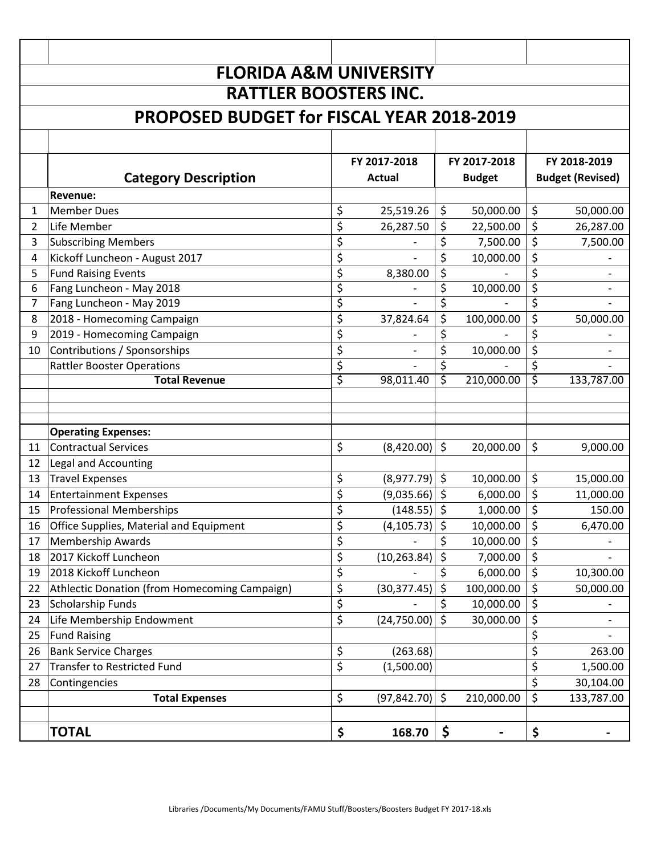|              | <b>FLORIDA A&amp;M UNIVERSITY</b>                |    |                  |         |               |    |                          |  |  |
|--------------|--------------------------------------------------|----|------------------|---------|---------------|----|--------------------------|--|--|
|              | <b>RATTLER BOOSTERS INC.</b>                     |    |                  |         |               |    |                          |  |  |
|              | <b>PROPOSED BUDGET for FISCAL YEAR 2018-2019</b> |    |                  |         |               |    |                          |  |  |
|              |                                                  |    |                  |         |               |    |                          |  |  |
|              | FY 2017-2018<br>FY 2017-2018                     |    |                  |         |               |    | FY 2018-2019             |  |  |
|              | <b>Category Description</b>                      |    | <b>Actual</b>    |         | <b>Budget</b> |    | <b>Budget (Revised)</b>  |  |  |
|              | <b>Revenue:</b>                                  |    |                  |         |               |    |                          |  |  |
| $\mathbf{1}$ | <b>Member Dues</b>                               | \$ | 25,519.26        | \$      | 50,000.00     | \$ | 50,000.00                |  |  |
| 2            | Life Member                                      | \$ | 26,287.50        | \$      | 22,500.00     | \$ | 26,287.00                |  |  |
| 3            | <b>Subscribing Members</b>                       | \$ |                  | \$      | 7,500.00      | \$ | 7,500.00                 |  |  |
| 4            | Kickoff Luncheon - August 2017                   | \$ |                  | \$      | 10,000.00     | \$ |                          |  |  |
| 5            | <b>Fund Raising Events</b>                       | \$ | 8,380.00         | \$      |               | \$ |                          |  |  |
| 6            | Fang Luncheon - May 2018                         | \$ |                  | \$      | 10,000.00     | \$ |                          |  |  |
| 7            | Fang Luncheon - May 2019                         | \$ |                  | \$      |               | \$ |                          |  |  |
| 8            | 2018 - Homecoming Campaign                       | \$ | 37,824.64        | \$      | 100,000.00    | \$ | 50,000.00                |  |  |
| 9            | 2019 - Homecoming Campaign                       | \$ |                  | \$      |               | \$ |                          |  |  |
| 10           | Contributions / Sponsorships                     | \$ |                  | \$      | 10,000.00     | \$ | $\overline{\phantom{a}}$ |  |  |
|              | <b>Rattler Booster Operations</b>                | \$ |                  | \$      |               | \$ |                          |  |  |
|              | <b>Total Revenue</b>                             | \$ | 98,011.40        | \$      | 210,000.00    | ड  | 133,787.00               |  |  |
|              |                                                  |    |                  |         |               |    |                          |  |  |
|              |                                                  |    |                  |         |               |    |                          |  |  |
|              | <b>Operating Expenses:</b>                       |    |                  |         |               |    |                          |  |  |
| 11           | <b>Contractual Services</b>                      | \$ | (8,420.00)       | \$      | 20,000.00     | \$ | 9,000.00                 |  |  |
| 12           | Legal and Accounting                             |    |                  |         |               |    |                          |  |  |
| 13           | <b>Travel Expenses</b>                           | \$ | (8,977.79)       | \$      | 10,000.00     | \$ | 15,000.00                |  |  |
| 14           | <b>Entertainment Expenses</b>                    | \$ | (9,035.66)       | \$      | 6,000.00      | \$ | 11,000.00                |  |  |
| 15           | <b>Professional Memberships</b>                  | \$ | (148.55)         | \$      | 1,000.00      | \$ | 150.00                   |  |  |
| 16           | Office Supplies, Material and Equipment          | \$ | $(4, 105.73)$ \$ |         | 10,000.00     | \$ | 6,470.00                 |  |  |
| 17           | <b>Membership Awards</b>                         | \$ |                  | \$      | 10,000.00     | \$ |                          |  |  |
| 18           | 2017 Kickoff Luncheon                            | \$ | (10, 263.84)     |         | 7,000.00      | \$ |                          |  |  |
| 19           | 2018 Kickoff Luncheon                            | \$ |                  |         | 6,000.00      | \$ | 10,300.00                |  |  |
| 22           | Athlectic Donation (from Homecoming Campaign)    | \$ | (30, 377.45)     | \$      | 100,000.00    | \$ | 50,000.00                |  |  |
| 23           | <b>Scholarship Funds</b>                         | \$ |                  | \$      | 10,000.00     | \$ |                          |  |  |
| 24           | Life Membership Endowment                        | \$ | (24, 750.00)     | \$      | 30,000.00     | \$ |                          |  |  |
| 25           | <b>Fund Raising</b>                              |    |                  |         |               | \$ |                          |  |  |
| 26           | <b>Bank Service Charges</b>                      | \$ | (263.68)         |         |               | \$ | 263.00                   |  |  |
| 27           | <b>Transfer to Restricted Fund</b>               | \$ | (1,500.00)       |         |               | \$ | 1,500.00                 |  |  |
| 28           | Contingencies                                    |    |                  |         |               | \$ | 30,104.00                |  |  |
|              | <b>Total Expenses</b>                            | \$ | (97, 842.70)     | $\zeta$ | 210,000.00    | \$ | 133,787.00               |  |  |
|              |                                                  |    |                  |         |               |    |                          |  |  |
|              | <b>TOTAL</b>                                     | \$ | 168.70           | \$      |               | \$ |                          |  |  |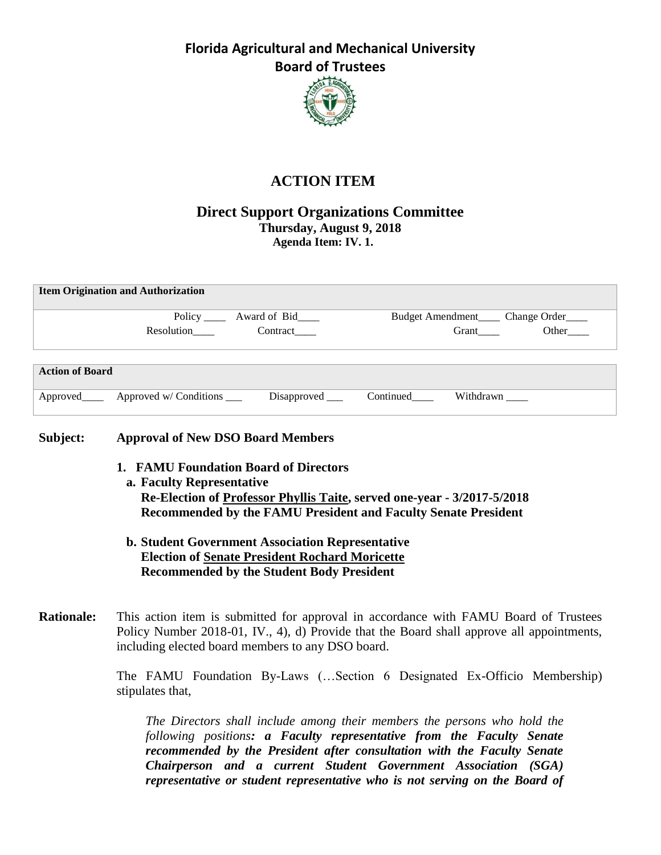

# **ACTION ITEM**

### **Direct Support Organizations Committee Thursday, August 9, 2018 Agenda Item: IV. 1.**

| <b>Item Origination and Authorization</b> |                                              |                                   |                         |                                        |       |  |  |
|-------------------------------------------|----------------------------------------------|-----------------------------------|-------------------------|----------------------------------------|-------|--|--|
|                                           |                                              | Policy _______ Award of Bid______ |                         | Budget Amendment_____ Change Order____ |       |  |  |
|                                           | Resolution                                   | Contract                          |                         | Grant                                  | Other |  |  |
| <b>Action of Board</b>                    |                                              |                                   |                         |                                        |       |  |  |
|                                           | Approved _______ Approved w/ Conditions ____ | $Disapproved$ <sub>____</sub>     | Continued<br><u>Let</u> | Withdrawn                              |       |  |  |

### **Subject: Approval of New DSO Board Members**

- **1. FAMU Foundation Board of Directors**
- **a. Faculty Representative Re-Election of Professor Phyllis Taite, served one-year - 3/2017-5/2018 Recommended by the FAMU President and Faculty Senate President**
	- **b. Student Government Association Representative Election of Senate President Rochard Moricette Recommended by the Student Body President**
- **Rationale:** This action item is submitted for approval in accordance with FAMU Board of Trustees Policy Number 2018-01, IV., 4), d) Provide that the Board shall approve all appointments, including elected board members to any DSO board.

The FAMU Foundation By-Laws (…Section 6 Designated Ex-Officio Membership) stipulates that,

*The Directors shall include among their members the persons who hold the following positions: a Faculty representative from the Faculty Senate recommended by the President after consultation with the Faculty Senate Chairperson and a current Student Government Association (SGA) representative or student representative who is not serving on the Board of*